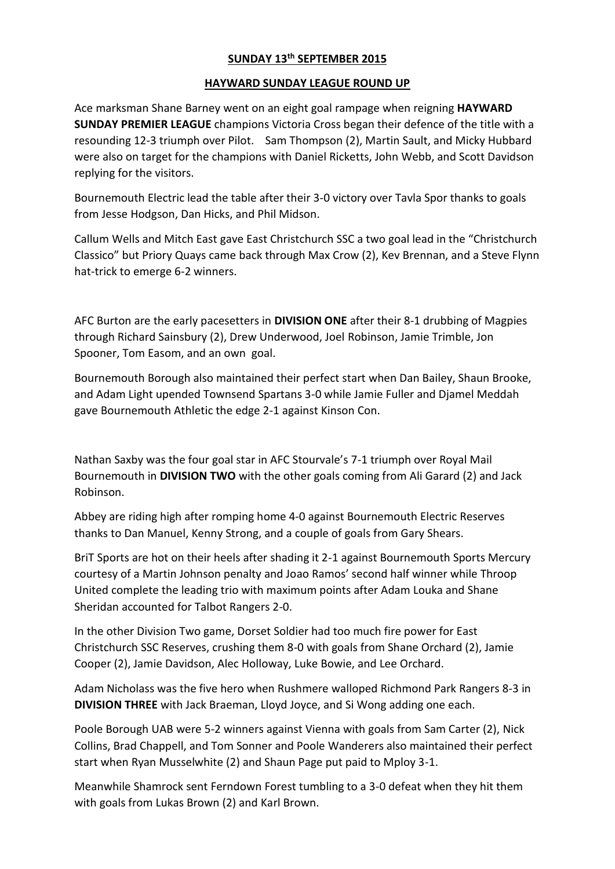## **SUNDAY 13th SEPTEMBER 2015**

## **HAYWARD SUNDAY LEAGUE ROUND UP**

Ace marksman Shane Barney went on an eight goal rampage when reigning **HAYWARD SUNDAY PREMIER LEAGUE** champions Victoria Cross began their defence of the title with a resounding 12-3 triumph over Pilot. Sam Thompson (2), Martin Sault, and Micky Hubbard were also on target for the champions with Daniel Ricketts, John Webb, and Scott Davidson replying for the visitors.

Bournemouth Electric lead the table after their 3-0 victory over Tavla Spor thanks to goals from Jesse Hodgson, Dan Hicks, and Phil Midson.

Callum Wells and Mitch East gave East Christchurch SSC a two goal lead in the "Christchurch Classico" but Priory Quays came back through Max Crow (2), Kev Brennan, and a Steve Flynn hat-trick to emerge 6-2 winners.

AFC Burton are the early pacesetters in **DIVISION ONE** after their 8-1 drubbing of Magpies through Richard Sainsbury (2), Drew Underwood, Joel Robinson, Jamie Trimble, Jon Spooner, Tom Easom, and an own goal.

Bournemouth Borough also maintained their perfect start when Dan Bailey, Shaun Brooke, and Adam Light upended Townsend Spartans 3-0 while Jamie Fuller and Djamel Meddah gave Bournemouth Athletic the edge 2-1 against Kinson Con.

Nathan Saxby was the four goal star in AFC Stourvale's 7-1 triumph over Royal Mail Bournemouth in **DIVISION TWO** with the other goals coming from Ali Garard (2) and Jack Robinson.

Abbey are riding high after romping home 4-0 against Bournemouth Electric Reserves thanks to Dan Manuel, Kenny Strong, and a couple of goals from Gary Shears.

BriT Sports are hot on their heels after shading it 2-1 against Bournemouth Sports Mercury courtesy of a Martin Johnson penalty and Joao Ramos' second half winner while Throop United complete the leading trio with maximum points after Adam Louka and Shane Sheridan accounted for Talbot Rangers 2-0.

In the other Division Two game, Dorset Soldier had too much fire power for East Christchurch SSC Reserves, crushing them 8-0 with goals from Shane Orchard (2), Jamie Cooper (2), Jamie Davidson, Alec Holloway, Luke Bowie, and Lee Orchard.

Adam Nicholass was the five hero when Rushmere walloped Richmond Park Rangers 8-3 in **DIVISION THREE** with Jack Braeman, Lloyd Joyce, and Si Wong adding one each.

Poole Borough UAB were 5-2 winners against Vienna with goals from Sam Carter (2), Nick Collins, Brad Chappell, and Tom Sonner and Poole Wanderers also maintained their perfect start when Ryan Musselwhite (2) and Shaun Page put paid to Mploy 3-1.

Meanwhile Shamrock sent Ferndown Forest tumbling to a 3-0 defeat when they hit them with goals from Lukas Brown (2) and Karl Brown.